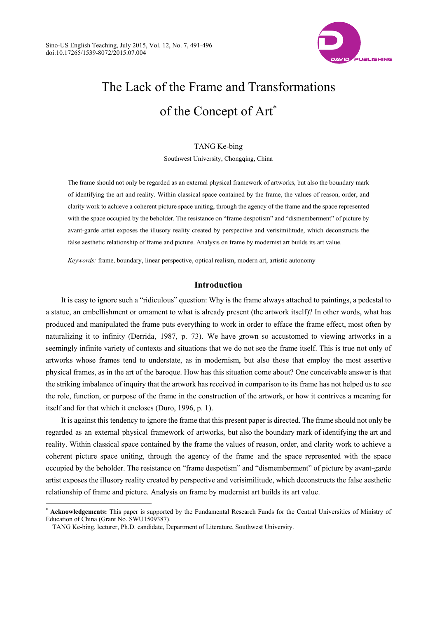

# The Lack of the Frame and Transformations of the Concept of Art<sup>\*</sup>

TANG Ke-bing Southwest University, Chongqing, China

The frame should not only be regarded as an external physical framework of artworks, but also the boundary mark of identifying the art and reality. Within classical space contained by the frame, the values of reason, order, and clarity work to achieve a coherent picture space uniting, through the agency of the frame and the space represented with the space occupied by the beholder. The resistance on "frame despotism" and "dismemberment" of picture by avant-garde artist exposes the illusory reality created by perspective and verisimilitude, which deconstructs the false aesthetic relationship of frame and picture. Analysis on frame by modernist art builds its art value.

*Keywords:* frame, boundary, linear perspective, optical realism, modern art, artistic autonomy

# **Introduction**

It is easy to ignore such a "ridiculous" question: Why is the frame always attached to paintings, a pedestal to a statue, an embellishment or ornament to what is already present (the artwork itself)? In other words, what has produced and manipulated the frame puts everything to work in order to efface the frame effect, most often by naturalizing it to infinity (Derrida, 1987, p. 73). We have grown so accustomed to viewing artworks in a seemingly infinite variety of contexts and situations that we do not see the frame itself. This is true not only of artworks whose frames tend to understate, as in modernism, but also those that employ the most assertive physical frames, as in the art of the baroque. How has this situation come about? One conceivable answer is that the striking imbalance of inquiry that the artwork has received in comparison to its frame has not helped us to see the role, function, or purpose of the frame in the construction of the artwork, or how it contrives a meaning for itself and for that which it encloses (Duro, 1996, p. 1).

It is against this tendency to ignore the frame that this present paper is directed. The frame should not only be regarded as an external physical framework of artworks, but also the boundary mark of identifying the art and reality. Within classical space contained by the frame the values of reason, order, and clarity work to achieve a coherent picture space uniting, through the agency of the frame and the space represented with the space occupied by the beholder. The resistance on "frame despotism" and "dismemberment" of picture by avant-garde artist exposes the illusory reality created by perspective and verisimilitude, which deconstructs the false aesthetic relationship of frame and picture. Analysis on frame by modernist art builds its art value.

 $\overline{a}$ 

Acknowledgements: This paper is supported by the Fundamental Research Funds for the Central Universities of Ministry of Education of China (Grant No. SWU1509387).

TANG Ke-bing, lecturer, Ph.D. candidate, Department of Literature, Southwest University.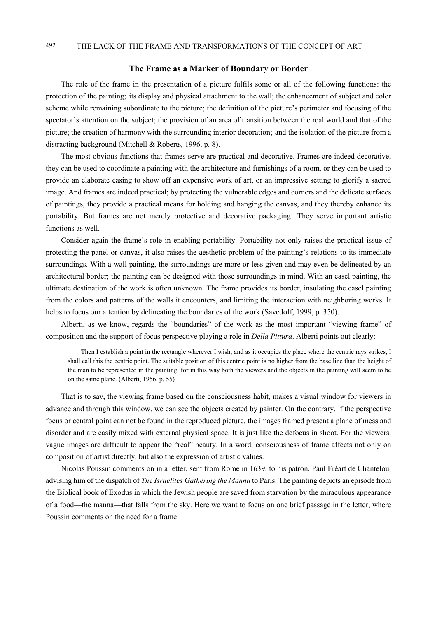## 492 THE LACK OF THE FRAME AND TRANSFORMATIONS OF THE CONCEPT OF ART

#### **The Frame as a Marker of Boundary or Border**

The role of the frame in the presentation of a picture fulfils some or all of the following functions: the protection of the painting; its display and physical attachment to the wall; the enhancement of subject and color scheme while remaining subordinate to the picture; the definition of the picture's perimeter and focusing of the spectator's attention on the subject; the provision of an area of transition between the real world and that of the picture; the creation of harmony with the surrounding interior decoration; and the isolation of the picture from a distracting background (Mitchell & Roberts, 1996, p. 8).

The most obvious functions that frames serve are practical and decorative. Frames are indeed decorative; they can be used to coordinate a painting with the architecture and furnishings of a room, or they can be used to provide an elaborate casing to show off an expensive work of art, or an impressive setting to glorify a sacred image. And frames are indeed practical; by protecting the vulnerable edges and corners and the delicate surfaces of paintings, they provide a practical means for holding and hanging the canvas, and they thereby enhance its portability. But frames are not merely protective and decorative packaging: They serve important artistic functions as well.

Consider again the frame's role in enabling portability. Portability not only raises the practical issue of protecting the panel or canvas, it also raises the aesthetic problem of the painting's relations to its immediate surroundings. With a wall painting, the surroundings are more or less given and may even be delineated by an architectural border; the painting can be designed with those surroundings in mind. With an easel painting, the ultimate destination of the work is often unknown. The frame provides its border, insulating the easel painting from the colors and patterns of the walls it encounters, and limiting the interaction with neighboring works. It helps to focus our attention by delineating the boundaries of the work (Savedoff, 1999, p. 350).

Alberti, as we know, regards the "boundaries" of the work as the most important "viewing frame" of composition and the support of focus perspective playing a role in *Della Pittura*. Alberti points out clearly:

Then I establish a point in the rectangle wherever I wish; and as it occupies the place where the centric rays strikes, I shall call this the centric point. The suitable position of this centric point is no higher from the base line than the height of the man to be represented in the painting, for in this way both the viewers and the objects in the painting will seem to be on the same plane. (Alberti, 1956, p. 55)

That is to say, the viewing frame based on the consciousness habit, makes a visual window for viewers in advance and through this window, we can see the objects created by painter. On the contrary, if the perspective focus or central point can not be found in the reproduced picture, the images framed present a plane of mess and disorder and are easily mixed with external physical space. It is just like the defocus in shoot. For the viewers, vague images are difficult to appear the "real" beauty. In a word, consciousness of frame affects not only on composition of artist directly, but also the expression of artistic values.

Nicolas Poussin comments on in a letter, sent from Rome in 1639, to his patron, Paul Fréart de Chantelou, advising him of the dispatch of *The Israelites Gathering the Manna* to Paris. The painting depicts an episode from the Biblical book of Exodus in which the Jewish people are saved from starvation by the miraculous appearance of a food—the manna—that falls from the sky. Here we want to focus on one brief passage in the letter, where Poussin comments on the need for a frame: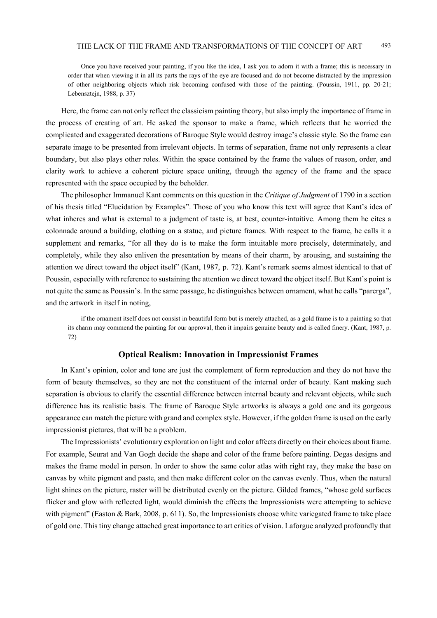Once you have received your painting, if you like the idea, I ask you to adorn it with a frame; this is necessary in order that when viewing it in all its parts the rays of the eye are focused and do not become distracted by the impression of other neighboring objects which risk becoming confused with those of the painting. (Poussin, 1911, pp. 20-21; Lebensztejn, 1988, p. 37)

Here, the frame can not only reflect the classicism painting theory, but also imply the importance of frame in the process of creating of art. He asked the sponsor to make a frame, which reflects that he worried the complicated and exaggerated decorations of Baroque Style would destroy image's classic style. So the frame can separate image to be presented from irrelevant objects. In terms of separation, frame not only represents a clear boundary, but also plays other roles. Within the space contained by the frame the values of reason, order, and clarity work to achieve a coherent picture space uniting, through the agency of the frame and the space represented with the space occupied by the beholder.

The philosopher Immanuel Kant comments on this question in the *Critique of Judgment* of 1790 in a section of his thesis titled "Elucidation by Examples". Those of you who know this text will agree that Kant's idea of what inheres and what is external to a judgment of taste is, at best, counter-intuitive. Among them he cites a colonnade around a building, clothing on a statue, and picture frames. With respect to the frame, he calls it a supplement and remarks, "for all they do is to make the form intuitable more precisely, determinately, and completely, while they also enliven the presentation by means of their charm, by arousing, and sustaining the attention we direct toward the object itself" (Kant, 1987, p. 72). Kant's remark seems almost identical to that of Poussin, especially with reference to sustaining the attention we direct toward the object itself. But Kant's point is not quite the same as Poussin's. In the same passage, he distinguishes between ornament, what he calls "parerga", and the artwork in itself in noting,

if the ornament itself does not consist in beautiful form but is merely attached, as a gold frame is to a painting so that its charm may commend the painting for our approval, then it impairs genuine beauty and is called finery. (Kant, 1987, p. 72)

#### **Optical Realism: Innovation in Impressionist Frames**

In Kant's opinion, color and tone are just the complement of form reproduction and they do not have the form of beauty themselves, so they are not the constituent of the internal order of beauty. Kant making such separation is obvious to clarify the essential difference between internal beauty and relevant objects, while such difference has its realistic basis. The frame of Baroque Style artworks is always a gold one and its gorgeous appearance can match the picture with grand and complex style. However, if the golden frame is used on the early impressionist pictures, that will be a problem.

The Impressionists' evolutionary exploration on light and color affects directly on their choices about frame. For example, Seurat and Van Gogh decide the shape and color of the frame before painting. Degas designs and makes the frame model in person. In order to show the same color atlas with right ray, they make the base on canvas by white pigment and paste, and then make different color on the canvas evenly. Thus, when the natural light shines on the picture, raster will be distributed evenly on the picture. Gilded frames, "whose gold surfaces flicker and glow with reflected light, would diminish the effects the Impressionists were attempting to achieve with pigment" (Easton & Bark, 2008, p. 611). So, the Impressionists choose white variegated frame to take place of gold one. This tiny change attached great importance to art critics of vision. Laforgue analyzed profoundly that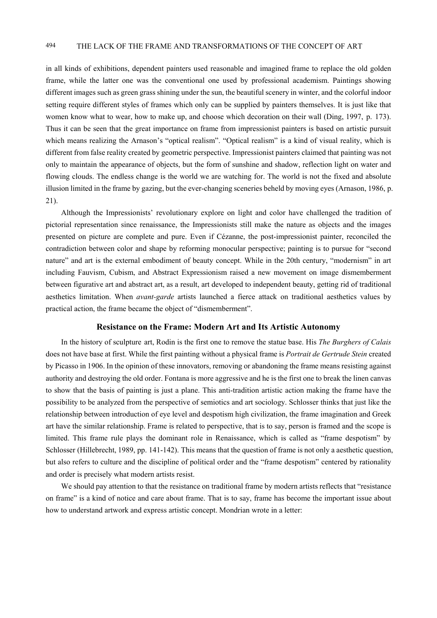# 494 THE LACK OF THE FRAME AND TRANSFORMATIONS OF THE CONCEPT OF ART

in all kinds of exhibitions, dependent painters used reasonable and imagined frame to replace the old golden frame, while the latter one was the conventional one used by professional academism. Paintings showing different images such as green grass shining under the sun, the beautiful scenery in winter, and the colorful indoor setting require different styles of frames which only can be supplied by painters themselves. It is just like that women know what to wear, how to make up, and choose which decoration on their wall (Ding, 1997, p. 173). Thus it can be seen that the great importance on frame from impressionist painters is based on artistic pursuit which means realizing the Arnason's "optical realism". "Optical realism" is a kind of visual reality, which is different from false reality created by geometric perspective. Impressionist painters claimed that painting was not only to maintain the appearance of objects, but the form of sunshine and shadow, reflection light on water and flowing clouds. The endless change is the world we are watching for. The world is not the fixed and absolute illusion limited in the frame by gazing, but the ever-changing sceneries beheld by moving eyes (Arnason, 1986, p. 21).

Although the Impressionists' revolutionary explore on light and color have challenged the tradition of pictorial representation since renaissance, the Impressionists still make the nature as objects and the images presented on picture are complete and pure. Even if Cézanne, the post-impressionist painter, reconciled the contradiction between color and shape by reforming monocular perspective; painting is to pursue for "second nature" and art is the external embodiment of beauty concept. While in the 20th century, "modernism" in art including Fauvism, Cubism, and Abstract Expressionism raised a new movement on image dismemberment between figurative art and abstract art, as a result, art developed to independent beauty, getting rid of traditional aesthetics limitation. When *avant-garde* artists launched a fierce attack on traditional aesthetics values by practical action, the frame became the object of "dismemberment".

#### **Resistance on the Frame: Modern Art and Its Artistic Autonomy**

In the history of sculpture art, Rodin is the first one to remove the statue base. His *The Burghers of Calais* does not have base at first. While the first painting without a physical frame is *Portrait de Gertrude Stein* created by Picasso in 1906. In the opinion of these innovators, removing or abandoning the frame means resisting against authority and destroying the old order. Fontana is more aggressive and he is the first one to break the linen canvas to show that the basis of painting is just a plane. This anti-tradition artistic action making the frame have the possibility to be analyzed from the perspective of semiotics and art sociology. Schlosser thinks that just like the relationship between introduction of eye level and despotism high civilization, the frame imagination and Greek art have the similar relationship. Frame is related to perspective, that is to say, person is framed and the scope is limited. This frame rule plays the dominant role in Renaissance, which is called as "frame despotism" by Schlosser (Hillebrecht, 1989, pp. 141-142). This means that the question of frame is not only a aesthetic question, but also refers to culture and the discipline of political order and the "frame despotism" centered by rationality and order is precisely what modern artists resist.

We should pay attention to that the resistance on traditional frame by modern artists reflects that "resistance" on frame" is a kind of notice and care about frame. That is to say, frame has become the important issue about how to understand artwork and express artistic concept. Mondrian wrote in a letter: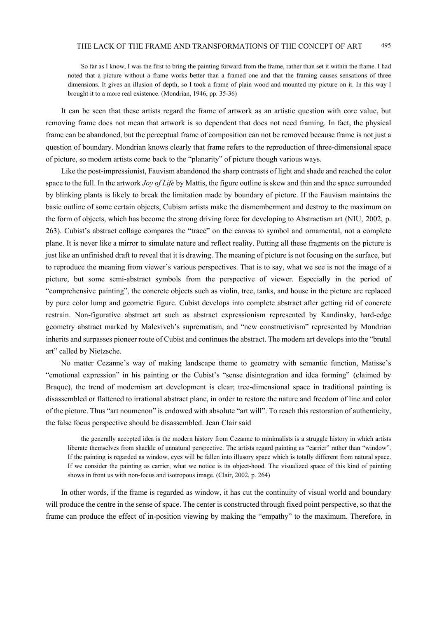So far as I know, I was the first to bring the painting forward from the frame, rather than set it within the frame. I had noted that a picture without a frame works better than a framed one and that the framing causes sensations of three dimensions. It gives an illusion of depth, so I took a frame of plain wood and mounted my picture on it. In this way I brought it to a more real existence. (Mondrian, 1946, pp. 35-36)

It can be seen that these artists regard the frame of artwork as an artistic question with core value, but removing frame does not mean that artwork is so dependent that does not need framing. In fact, the physical frame can be abandoned, but the perceptual frame of composition can not be removed because frame is not just a question of boundary. Mondrian knows clearly that frame refers to the reproduction of three-dimensional space of picture, so modern artists come back to the "planarity" of picture though various ways.

Like the post-impressionist, Fauvism abandoned the sharp contrasts of light and shade and reached the color space to the full. In the artwork *Joy of Life* by Mattis, the figure outline is skew and thin and the space surrounded by blinking plants is likely to break the limitation made by boundary of picture. If the Fauvism maintains the basic outline of some certain objects, Cubism artists make the dismemberment and destroy to the maximum on the form of objects, which has become the strong driving force for developing to Abstractism art (NIU, 2002, p. 263). Cubist's abstract collage compares the "trace" on the canvas to symbol and ornamental, not a complete plane. It is never like a mirror to simulate nature and reflect reality. Putting all these fragments on the picture is just like an unfinished draft to reveal that it is drawing. The meaning of picture is not focusing on the surface, but to reproduce the meaning from viewer's various perspectives. That is to say, what we see is not the image of a picture, but some semi-abstract symbols from the perspective of viewer. Especially in the period of "comprehensive painting", the concrete objects such as violin, tree, tanks, and house in the picture are replaced by pure color lump and geometric figure. Cubist develops into complete abstract after getting rid of concrete restrain. Non-figurative abstract art such as abstract expressionism represented by Kandinsky, hard-edge geometry abstract marked by Malevivch's suprematism, and "new constructivism" represented by Mondrian inherits and surpasses pioneer route of Cubist and continues the abstract. The modern art develops into the "brutal art" called by Nietzsche.

No matter Cezanne's way of making landscape theme to geometry with semantic function, Matisse's "emotional expression" in his painting or the Cubist's "sense disintegration and idea forming" (claimed by Braque), the trend of modernism art development is clear; tree-dimensional space in traditional painting is disassembled or flattened to irrational abstract plane, in order to restore the nature and freedom of line and color of the picture. Thus "art noumenon" is endowed with absolute "art will". To reach this restoration of authenticity, the false focus perspective should be disassembled. Jean Clair said

the generally accepted idea is the modern history from Cezanne to minimalists is a struggle history in which artists liberate themselves from shackle of unnatural perspective. The artists regard painting as "carrier" rather than "window". If the painting is regarded as window, eyes will be fallen into illusory space which is totally different from natural space. If we consider the painting as carrier, what we notice is its object-hood. The visualized space of this kind of painting shows in front us with non-focus and isotropous image. (Clair, 2002, p. 264)

In other words, if the frame is regarded as window, it has cut the continuity of visual world and boundary will produce the centre in the sense of space. The center is constructed through fixed point perspective, so that the frame can produce the effect of in-position viewing by making the "empathy" to the maximum. Therefore, in